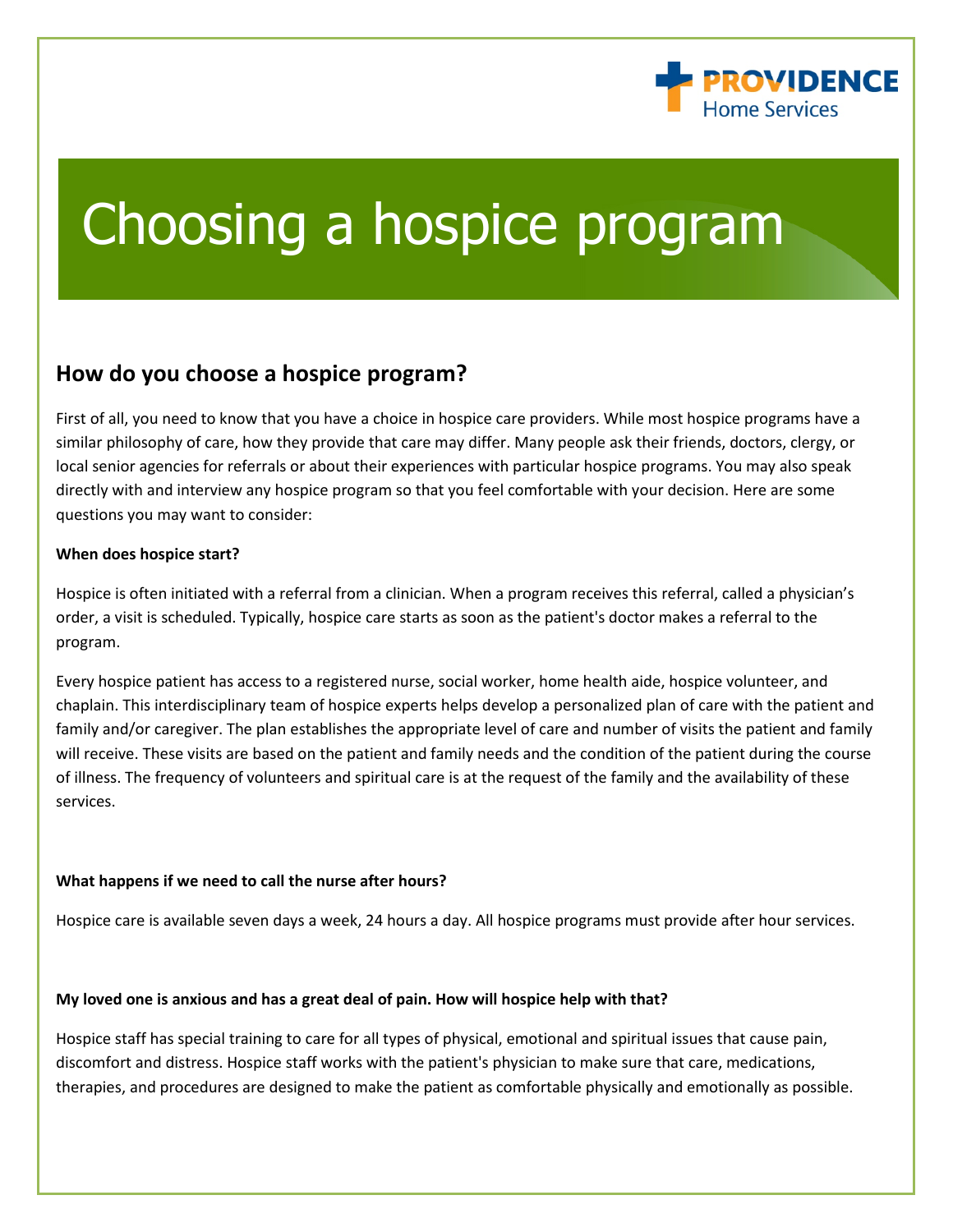

# Choosing a hospice program

# **How do you choose a hospice program?**

First of all, you need to know that you have a choice in hospice care providers. While most hospice programs have a similar philosophy of care, how they provide that care may differ. Many people ask their friends, doctors, clergy, or local senior agencies for referrals or about their experiences with particular hospice programs. You may also speak directly with and interview any hospice program so that you feel comfortable with your decision. Here are some questions you may want to consider:

## **When does hospice start?**

Hospice is often initiated with a referral from a clinician. When a program receives this referral, called a physician's order, a visit is scheduled. Typically, hospice care starts as soon as the patient's doctor makes a referral to the program.

Every hospice patient has access to a registered nurse, social worker, home health aide, hospice volunteer, and chaplain. This interdisciplinary team of hospice experts helps develop a personalized plan of care with the patient and family and/or caregiver. The plan establishes the appropriate level of care and number of visits the patient and family will receive. These visits are based on the patient and family needs and the condition of the patient during the course of illness. The frequency of volunteers and spiritual care is at the request of the family and the availability of these services.

# **What happens if we need to call the nurse after hours?**

Hospice care is available seven days a week, 24 hours a day. All hospice programs must provide after hour services.

# **My loved one is anxious and has a great deal of pain. How will hospice help with that?**

Hospice staff has special training to care for all types of physical, emotional and spiritual issues that cause pain, discomfort and distress. Hospice staff works with the patient's physician to make sure that care, medications, therapies, and procedures are designed to make the patient as comfortable physically and emotionally as possible.